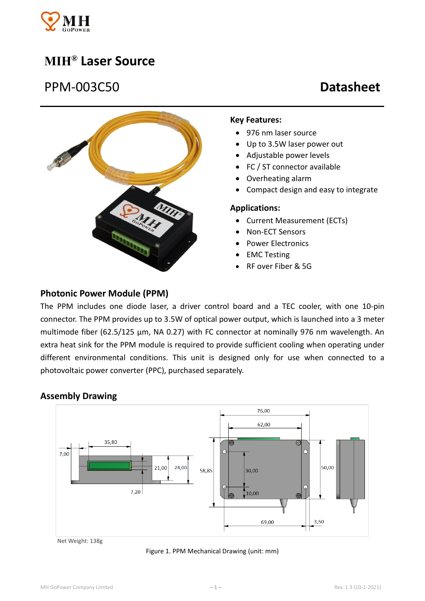

# **MIH® Laser Source**

# PPM-003C50 **Datasheet**



#### **Key Features:**

- 976 nm laser source
- Up to 3.5W laser power out
- Adjustable power levels
- FC / ST connector available
- Overheating alarm
- Compact design and easy to integrate

#### **Applications:**

- Current Measurement (ECTs)
- Non-ECT Sensors
- Power Electronics
- EMC Testing
- RF over Fiber & 5G

# **Photonic Power Module (PPM)**

The PPM includes one diode laser, a driver control board and a TEC cooler, with one 10-pin connector. The PPM provides up to 3.5W of optical power output, which is launched into a 3 meter multimode fiber (62.5/125 μm, NA 0.27) with FC connector at nominally 976 nm wavelength. An extra heat sink for the PPM module is required to provide sufficient cooling when operating under different environmental conditions. This unit is designed only for use when connected to a photovoltaic power converter (PPC), purchased separately.

#### **Assembly Drawing**



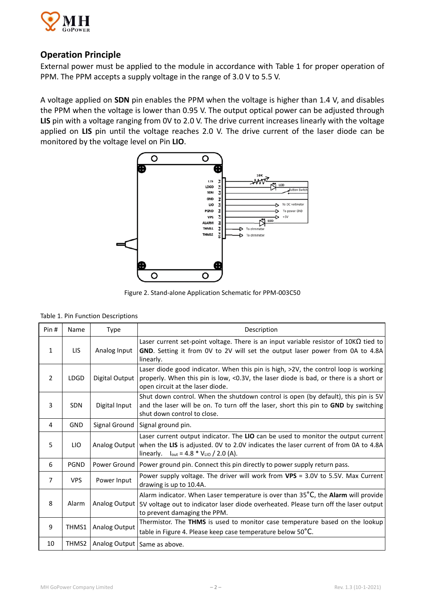

# **Operation Principle**

External power must be applied to the module in accordance with Table 1 for proper operation of PPM. The PPM accepts a supply voltage in the range of 3.0 V to 5.5 V.

A voltage applied on **SDN** pin enables the PPM when the voltage is higher than 1.4 V, and disables the PPM when the voltage is lower than 0.95 V. The output optical power can be adjusted through **LIS** pin with a voltage ranging from 0V to 2.0 V. The drive current increases linearly with the voltage applied on **LIS** pin until the voltage reaches 2.0 V. The drive current of the laser diode can be monitored by the voltage level on Pin **LIO**.



Figure 2. Stand-alone Application Schematic for PPM-003C50

|  |  | Table 1. Pin Function Descriptions |
|--|--|------------------------------------|
|--|--|------------------------------------|

| Pin#           | Name        | Type           | Description                                                                                                                                                                                                                                 |  |  |
|----------------|-------------|----------------|---------------------------------------------------------------------------------------------------------------------------------------------------------------------------------------------------------------------------------------------|--|--|
| 1              | <b>LIS</b>  | Analog Input   | Laser current set-point voltage. There is an input variable resistor of $10K\Omega$ tied to<br>GND. Setting it from OV to 2V will set the output laser power from 0A to 4.8A<br>linearly.                                                   |  |  |
| $\overline{2}$ | <b>LDGD</b> | Digital Output | Laser diode good indicator. When this pin is high, >2V, the control loop is working<br>properly. When this pin is low, <0.3V, the laser diode is bad, or there is a short or<br>open circuit at the laser diode.                            |  |  |
| 3              | <b>SDN</b>  | Digital Input  | Shut down control. When the shutdown control is open (by default), this pin is 5V<br>and the laser will be on. To turn off the laser, short this pin to GND by switching<br>shut down control to close.                                     |  |  |
| 4              | <b>GND</b>  | Signal Ground  | Signal ground pin.                                                                                                                                                                                                                          |  |  |
| 5              | LIO.        | Analog Output  | Laser current output indicator. The LIO can be used to monitor the output current<br>when the LIS is adjusted. OV to 2.0V indicates the laser current of from 0A to 4.8A<br>$I_{\text{out}} = 4.8 * V_{\text{LIO}} / 2.0 (A).$<br>linearly. |  |  |
| 6              | <b>PGND</b> | Power Ground   | Power ground pin. Connect this pin directly to power supply return pass.                                                                                                                                                                    |  |  |
| $\overline{7}$ | <b>VPS</b>  | Power Input    | Power supply voltage. The driver will work from VPS = 3.0V to 5.5V. Max Current<br>drawing is up to 10.4A.                                                                                                                                  |  |  |
| 8              | Alarm       | Analog Output  | Alarm indicator. When Laser temperature is over than 35°C, the Alarm will provide<br>5V voltage out to indicator laser diode overheated. Please turn off the laser output<br>to prevent damaging the PPM.                                   |  |  |
| 9              | THMS1       | Analog Output  | Thermistor. The THMS is used to monitor case temperature based on the lookup<br>table in Figure 4. Please keep case temperature below 50°C.                                                                                                 |  |  |
| 10             | THMS2       |                | Analog Output   Same as above.                                                                                                                                                                                                              |  |  |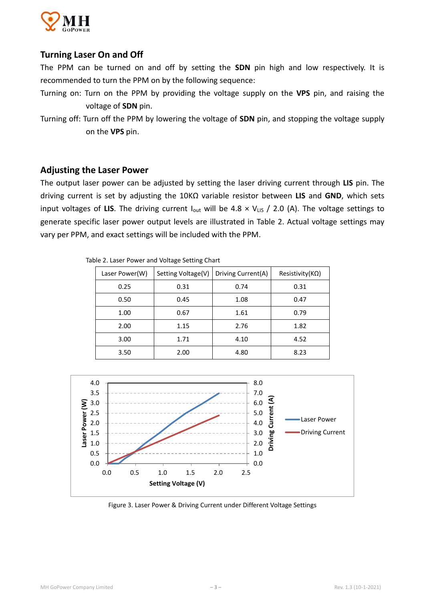

# **Turning Laser On and Off**

The PPM can be turned on and off by setting the **SDN** pin high and low respectively. It is recommended to turn the PPM on by the following sequence:

- Turning on: Turn on the PPM by providing the voltage supply on the **VPS** pin, and raising the voltage of **SDN** pin.
- Turning off: Turn off the PPM by lowering the voltage of **SDN** pin, and stopping the voltage supply on the **VPS** pin.

#### **Adjusting the Laser Power**

The output laser power can be adjusted by setting the laser driving current through **LIS** pin. The driving current is set by adjusting the 10KΩ variable resistor between **LIS** and **GND**, which sets input voltages of LIS. The driving current  $I_{\text{out}}$  will be 4.8  $\times$  V<sub>LIS</sub> / 2.0 (A). The voltage settings to generate specific laser power output levels are illustrated in Table 2. Actual voltage settings may vary per PPM, and exact settings will be included with the PPM.

| Laser Power(W) | Setting Voltage(V) | Driving Current(A) | Resistivity( $K\Omega$ ) |  |  |  |
|----------------|--------------------|--------------------|--------------------------|--|--|--|
| 0.25           | 0.31               | 0.74               | 0.31                     |  |  |  |
| 0.50           | 0.45               | 1.08               | 0.47                     |  |  |  |
| 1.00           | 0.67               | 1.61               | 0.79                     |  |  |  |
| 2.00           | 1.15               | 2.76               | 1.82                     |  |  |  |
| 3.00           | 1.71               | 4.10               | 4.52                     |  |  |  |
| 3.50           | 2.00               | 4.80               | 8.23                     |  |  |  |

Table 2. Laser Power and Voltage Setting Chart



Figure 3. Laser Power & Driving Current under Different Voltage Settings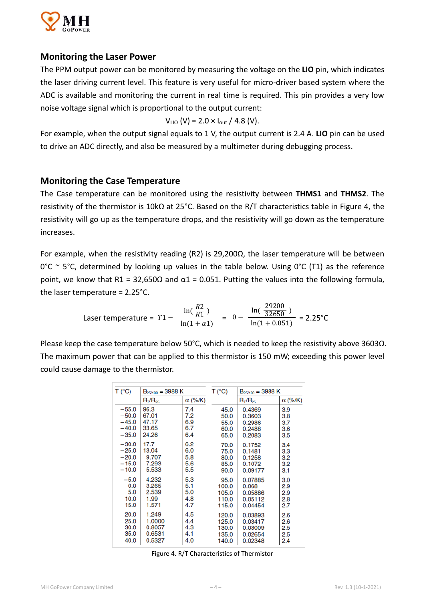

### **Monitoring the Laser Power**

The PPM output power can be monitored by measuring the voltage on the **LIO** pin, which indicates the laser driving current level. This feature is very useful for micro-driver based system where the ADC is available and monitoring the current in real time is required. This pin provides a very low noise voltage signal which is proportional to the output current:

$$
V_{LIO}
$$
 (V) = 2.0 × I<sub>out</sub> / 4.8 (V).

For example, when the output signal equals to 1 V, the output current is 2.4 A. **LIO** pin can be used to drive an ADC directly, and also be measured by a multimeter during debugging process.

### **Monitoring the Case Temperature**

The Case temperature can be monitored using the resistivity between **THMS1** and **THMS2**. The resistivity of the thermistor is 10kΩ at 25°C. Based on the R/T characteristics table in Figure 4, the resistivity will go up as the temperature drops, and the resistivity will go down as the temperature increases.

For example, when the resistivity reading (R2) is 29,200Ω, the laser temperature will be between  $0^{\circ}$ C ~ 5°C, determined by looking up values in the table below. Using  $0^{\circ}$ C (T1) as the reference point, we know that R1 = 32,650Ω and  $α1 = 0.051$ . Putting the values into the following formula, the laser temperature = 2.25°C.

Laser temperature = 
$$
T1 - \frac{\ln(\frac{R2}{R1})}{\ln(1 + \alpha 1)} = 0 - \frac{\ln(\frac{29200}{32650})}{\ln(1 + 0.051)} = 2.25^{\circ}\text{C}
$$

Please keep the case temperature below 50°C, which is needed to keep the resistivity above 3603Ω. The maximum power that can be applied to this thermistor is 150 mW; exceeding this power level could cause damage to the thermistor.

| T (°C)  | $B_{25/100} = 3988 K$ |                | T (°C) | $B_{25/100} = 3988 K$ |                |
|---------|-----------------------|----------------|--------|-----------------------|----------------|
|         | $R_T/R_{25}$          | $\alpha$ (%/K) |        | $R_T/R_{25}$          | $\alpha$ (%/K) |
| $-55.0$ | 96.3                  | 7.4            | 45.0   | 0.4369                | 3.9            |
| $-50.0$ | 67.01                 | 7.2            | 50.0   | 0.3603                | 3.8            |
| $-45.0$ | 47.17                 | 6.9            | 55.0   | 0.2986                | 3.7            |
| $-40.0$ | 33.65                 | 6.7            | 60.0   | 0.2488                | 3.6            |
| $-35.0$ | 24.26                 | 6.4            | 65.0   | 0.2083                | 3.5            |
| $-30.0$ | 17.7                  | 6.2            | 70.0   | 0.1752                | 3.4            |
| $-25.0$ | 13.04                 | 6.0            | 75.0   | 0.1481                | 3.3            |
| $-20.0$ | 9.707                 | 5.8            | 80.0   | 0.1258                | 3.2            |
| $-15.0$ | 7.293                 | 5.6            | 85.0   | 0.1072                | 3.2            |
| $-10.0$ | 5.533                 | 5.5            | 90.0   | 0.09177               | 3.1            |
| $-5.0$  | 4.232                 | 5.3            | 95.0   | 0.07885               | 3.0            |
| 0.0     | 3.265                 | 5.1            | 100.0  | 0.068                 | 2.9            |
| 5.0     | 2.539                 | 5.0            | 105.0  | 0.05886               | 2.9            |
| 10.0    | 1.99                  | 4.8            | 110.0  | 0.05112               | 2.8            |
| 15.0    | 1.571                 | 4.7            | 115.0  | 0.04454               | 2.7            |
| 20.0    | 1.249                 | 4.5            | 120.0  | 0.03893               | 2.6            |
| 25.0    | 1.0000                | 4.4            | 125.0  | 0.03417               | 2.6            |
| 30.0    | 0.8057                | 4.3            | 130.0  | 0.03009               | 2.5            |
| 35.0    | 0.6531                | 4.1            | 135.0  | 0.02654               | 2.5            |
| 40.0    | 0.5327                | 4.0            | 140.0  | 0.02348               | 2.4            |

Figure 4. R/T Characteristics of Thermistor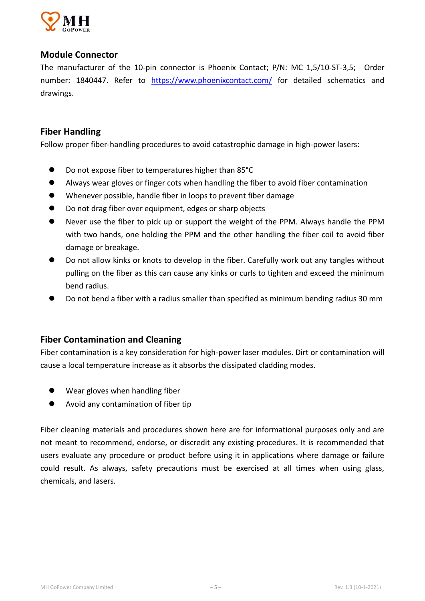

# **Module Connector**

The manufacturer of the 10-pin connector is Phoenix Contact; P/N: MC 1,5/10-ST-3,5; Order number: 1840447. Refer to [https://www.phoenixcontact.com/](https://www.phoenixcontact.com/online/portal/us?uri=pxc-oc-itemdetail:pid=1840447) for detailed schematics and drawings.

# **Fiber Handling**

Follow proper fiber-handling procedures to avoid catastrophic damage in high-power lasers:

- Do not expose fiber to temperatures higher than 85°C
- Always wear gloves or finger cots when handling the fiber to avoid fiber contamination
- Whenever possible, handle fiber in loops to prevent fiber damage
- Do not drag fiber over equipment, edges or sharp objects
- Never use the fiber to pick up or support the weight of the PPM. Always handle the PPM with two hands, one holding the PPM and the other handling the fiber coil to avoid fiber damage or breakage.
- Do not allow kinks or knots to develop in the fiber. Carefully work out any tangles without pulling on the fiber as this can cause any kinks or curls to tighten and exceed the minimum bend radius.
- Do not bend a fiber with a radius smaller than specified as minimum bending radius 30 mm

# **Fiber Contamination and Cleaning**

Fiber contamination is a key consideration for high-power laser modules. Dirt or contamination will cause a local temperature increase as it absorbs the dissipated cladding modes.

- Wear gloves when handling fiber
- Avoid any contamination of fiber tip

Fiber cleaning materials and procedures shown here are for informational purposes only and are not meant to recommend, endorse, or discredit any existing procedures. It is recommended that users evaluate any procedure or product before using it in applications where damage or failure could result. As always, safety precautions must be exercised at all times when using glass, chemicals, and lasers.